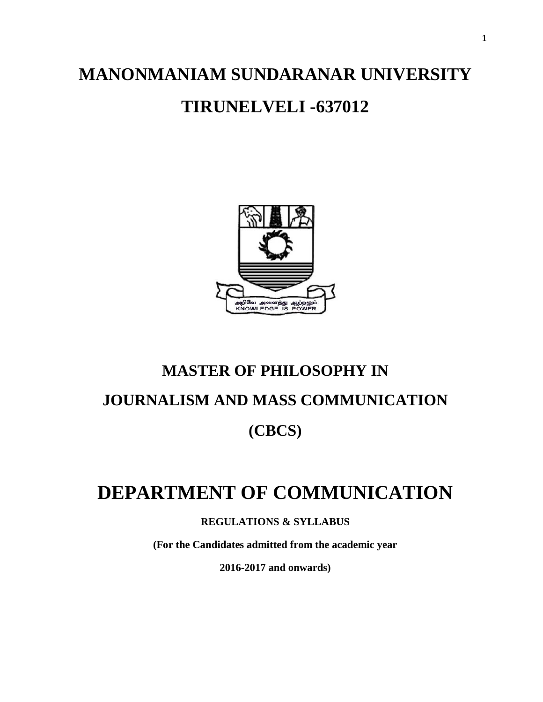# **MANONMANIAM SUNDARANAR UNIVERSITY TIRUNELVELI -637012**



# **MASTER OF PHILOSOPHY IN JOURNALISM AND MASS COMMUNICATION (CBCS)**

# **DEPARTMENT OF COMMUNICATION**

**REGULATIONS & SYLLABUS**

**(For the Candidates admitted from the academic year**

**2016-2017 and onwards)**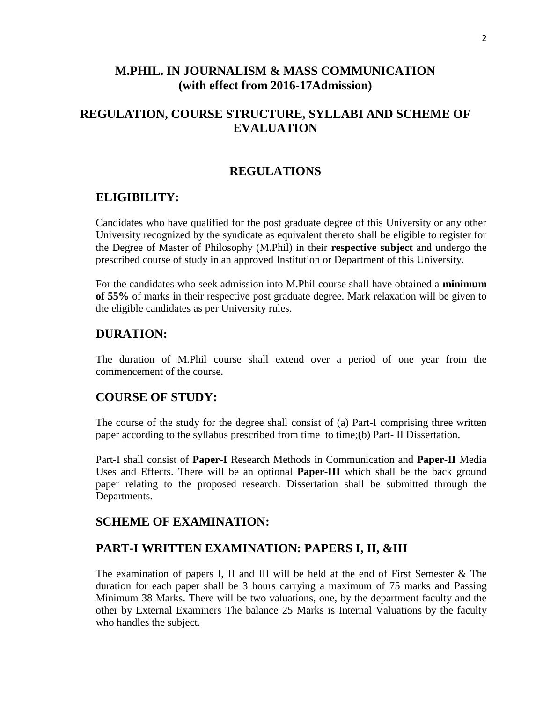### **M.PHIL. IN JOURNALISM & MASS COMMUNICATION (with effect from 2016-17Admission)**

## **REGULATION, COURSE STRUCTURE, SYLLABI AND SCHEME OF EVALUATION**

### **REGULATIONS**

### **ELIGIBILITY:**

Candidates who have qualified for the post graduate degree of this University or any other University recognized by the syndicate as equivalent thereto shall be eligible to register for the Degree of Master of Philosophy (M.Phil) in their **respective subject** and undergo the prescribed course of study in an approved Institution or Department of this University.

For the candidates who seek admission into M.Phil course shall have obtained a **minimum of 55%** of marks in their respective post graduate degree. Mark relaxation will be given to the eligible candidates as per University rules.

### **DURATION:**

The duration of M.Phil course shall extend over a period of one year from the commencement of the course.

### **COURSE OF STUDY:**

The course of the study for the degree shall consist of (a) Part-I comprising three written paper according to the syllabus prescribed from time to time;(b) Part- II Dissertation.

Part-I shall consist of **Paper-I** Research Methods in Communication and **Paper-II** Media Uses and Effects. There will be an optional **Paper-III** which shall be the back ground paper relating to the proposed research. Dissertation shall be submitted through the Departments.

### **SCHEME OF EXAMINATION:**

### **PART-I WRITTEN EXAMINATION: PAPERS I, II, &III**

The examination of papers I, II and III will be held at the end of First Semester & The duration for each paper shall be 3 hours carrying a maximum of 75 marks and Passing Minimum 38 Marks. There will be two valuations, one, by the department faculty and the other by External Examiners The balance 25 Marks is Internal Valuations by the faculty who handles the subject.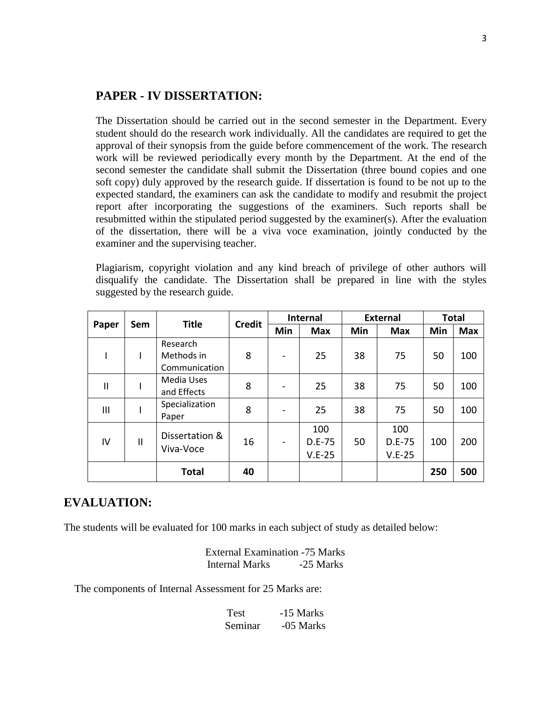### **PAPER - IV DISSERTATION:**

The Dissertation should be carried out in the second semester in the Department. Every student should do the research work individually. All the candidates are required to get the approval of their synopsis from the guide before commencement of the work. The research work will be reviewed periodically every month by the Department. At the end of the second semester the candidate shall submit the Dissertation (three bound copies and one soft copy) duly approved by the research guide. If dissertation is found to be not up to the expected standard, the examiners can ask the candidate to modify and resubmit the project report after incorporating the suggestions of the examiners. Such reports shall be resubmitted within the stipulated period suggested by the examiner(s). After the evaluation of the dissertation, there will be a viva voce examination, jointly conducted by the examiner and the supervising teacher.

Plagiarism, copyright violation and any kind breach of privilege of other authors will disqualify the candidate. The Dissertation shall be prepared in line with the styles suggested by the research guide.

| Paper        | Sem | <b>Title</b>                            | <b>Credit</b> | Internal |                           | <b>External</b> |                           | <b>Total</b> |            |
|--------------|-----|-----------------------------------------|---------------|----------|---------------------------|-----------------|---------------------------|--------------|------------|
|              |     |                                         |               | Min      | <b>Max</b>                | Min             | <b>Max</b>                | Min          | <b>Max</b> |
| I            |     | Research<br>Methods in<br>Communication | 8             |          | 25                        | 38              | 75                        | 50           | 100        |
| $\mathbf{I}$ |     | Media Uses<br>and Effects               | 8             |          | 25                        | 38              | 75                        | 50           | 100        |
| Ш            |     | Specialization<br>Paper                 | 8             |          | 25                        | 38              | 75                        | 50           | 100        |
| IV           | Ш   | Dissertation &<br>Viva-Voce             | 16            |          | 100<br>D.E-75<br>$V.E-25$ | 50              | 100<br>D.E-75<br>$V.E-25$ | 100          | 200        |
|              |     | <b>Total</b>                            | 40            |          |                           |                 |                           | 250          | 500        |

### **EVALUATION:**

The students will be evaluated for 100 marks in each subject of study as detailed below:

External Examination -75 Marks Internal Marks -25 Marks

The components of Internal Assessment for 25 Marks are:

| Test    | -15 Marks |
|---------|-----------|
| Seminar | -05 Marks |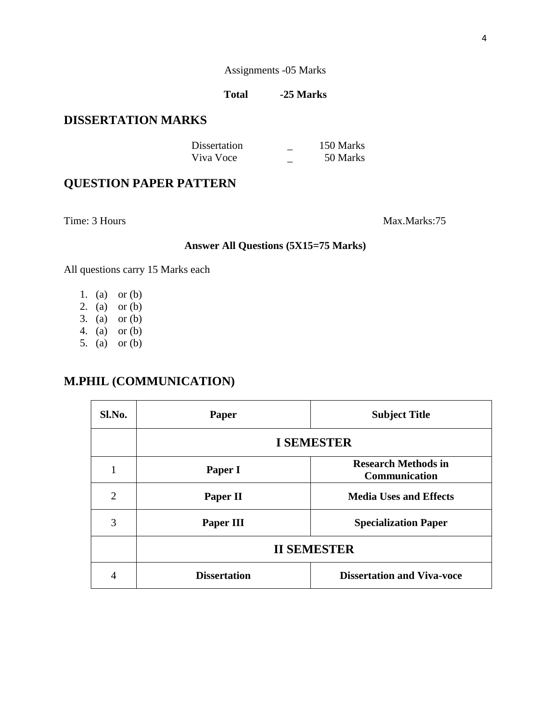### Assignments -05 Marks

### **Total -25 Marks**

## **DISSERTATION MARKS**

| Dissertation | 150 Marks |
|--------------|-----------|
| Viva Voce    | 50 Marks  |

# **QUESTION PAPER PATTERN**

Time: 3 Hours Max.Marks:75

### **Answer All Questions (5X15=75 Marks)**

All questions carry 15 Marks each

- 1. (a) or (b)
- 2. (a) or (b)
- 3. (a) or (b)
- 4. (a) or (b)
- 5. (a) or (b)

## **M.PHIL (COMMUNICATION)**

| Sl.No.         | Paper               | <b>Subject Title</b>                               |  |  |  |
|----------------|---------------------|----------------------------------------------------|--|--|--|
|                | <b>I SEMESTER</b>   |                                                    |  |  |  |
|                | Paper I             | <b>Research Methods in</b><br><b>Communication</b> |  |  |  |
| $\overline{2}$ | Paper II            | <b>Media Uses and Effects</b>                      |  |  |  |
| 3              | Paper III           | <b>Specialization Paper</b>                        |  |  |  |
|                | <b>II SEMESTER</b>  |                                                    |  |  |  |
| 4              | <b>Dissertation</b> | <b>Dissertation and Viva-voce</b>                  |  |  |  |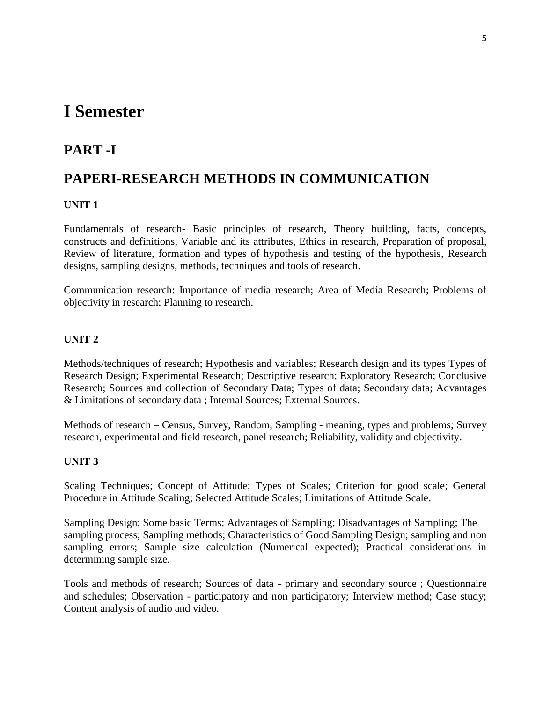# **I Semester**

# **PART -I**

# **PAPERI-RESEARCH METHODS IN COMMUNICATION**

### **UNIT 1**

Fundamentals of research- Basic principles of research, Theory building, facts, concepts, constructs and definitions, Variable and its attributes, Ethics in research, Preparation of proposal, Review of literature, formation and types of hypothesis and testing of the hypothesis, Research designs, sampling designs, methods, techniques and tools of research.

Communication research: Importance of media research; Area of Media Research; Problems of objectivity in research; Planning to research.

### **UNIT 2**

Methods/techniques of research; Hypothesis and variables; Research design and its types Types of Research Design; Experimental Research; Descriptive research; Exploratory Research; Conclusive Research; Sources and collection of Secondary Data; Types of data; Secondary data; Advantages & Limitations of secondary data ; Internal Sources; External Sources.

Methods of research – Census, Survey, Random; Sampling - meaning, types and problems; Survey research, experimental and field research, panel research; Reliability, validity and objectivity.

### **UNIT 3**

Scaling Techniques; Concept of Attitude; Types of Scales; Criterion for good scale; General Procedure in Attitude Scaling; Selected Attitude Scales; Limitations of Attitude Scale.

Sampling Design; Some basic Terms; Advantages of Sampling; Disadvantages of Sampling; The sampling process; Sampling methods; Characteristics of Good Sampling Design; sampling and non sampling errors; Sample size calculation (Numerical expected); Practical considerations in determining sample size.

Tools and methods of research; Sources of data - primary and secondary source ; Questionnaire and schedules; Observation - participatory and non participatory; Interview method; Case study; Content analysis of audio and video.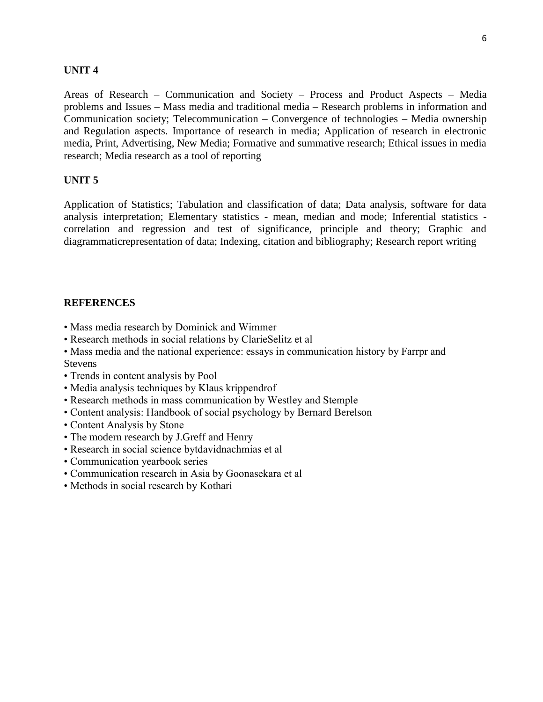### **UNIT 4**

Areas of Research – Communication and Society – Process and Product Aspects – Media problems and Issues – Mass media and traditional media – Research problems in information and Communication society; Telecommunication – Convergence of technologies – Media ownership and Regulation aspects. Importance of research in media; Application of research in electronic media, Print, Advertising, New Media; Formative and summative research; Ethical issues in media research; Media research as a tool of reporting

### **UNIT 5**

Application of Statistics; Tabulation and classification of data; Data analysis, software for data analysis interpretation; Elementary statistics - mean, median and mode; Inferential statistics correlation and regression and test of significance, principle and theory; Graphic and diagrammaticrepresentation of data; Indexing, citation and bibliography; Research report writing

- Mass media research by Dominick and Wimmer
- Research methods in social relations by ClarieSelitz et al
- Mass media and the national experience: essays in communication history by Farrpr and **Stevens**
- Trends in content analysis by Pool
- Media analysis techniques by Klaus krippendrof
- Research methods in mass communication by Westley and Stemple
- Content analysis: Handbook of social psychology by Bernard Berelson
- Content Analysis by Stone
- The modern research by J.Greff and Henry
- Research in social science bytdavidnachmias et al
- Communication yearbook series
- Communication research in Asia by Goonasekara et al
- Methods in social research by Kothari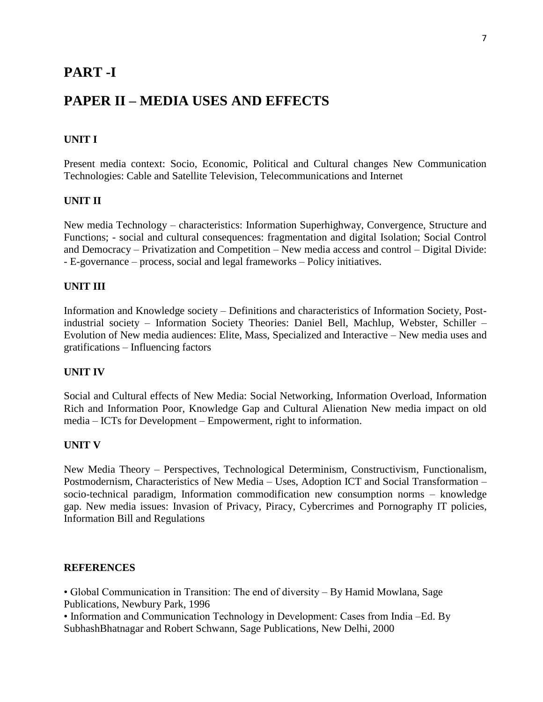### **PART -I**

# **PAPER II – MEDIA USES AND EFFECTS**

### **UNIT I**

Present media context: Socio, Economic, Political and Cultural changes New Communication Technologies: Cable and Satellite Television, Telecommunications and Internet

### **UNIT II**

New media Technology – characteristics: Information Superhighway, Convergence, Structure and Functions; - social and cultural consequences: fragmentation and digital Isolation; Social Control and Democracy – Privatization and Competition – New media access and control – Digital Divide: - E-governance – process, social and legal frameworks – Policy initiatives.

#### **UNIT III**

Information and Knowledge society – Definitions and characteristics of Information Society, Postindustrial society – Information Society Theories: Daniel Bell, Machlup, Webster, Schiller – Evolution of New media audiences: Elite, Mass, Specialized and Interactive – New media uses and gratifications – Influencing factors

#### **UNIT IV**

Social and Cultural effects of New Media: Social Networking, Information Overload, Information Rich and Information Poor, Knowledge Gap and Cultural Alienation New media impact on old media – ICTs for Development – Empowerment, right to information.

#### **UNIT V**

New Media Theory – Perspectives, Technological Determinism, Constructivism, Functionalism, Postmodernism, Characteristics of New Media – Uses, Adoption ICT and Social Transformation – socio-technical paradigm, Information commodification new consumption norms – knowledge gap. New media issues: Invasion of Privacy, Piracy, Cybercrimes and Pornography IT policies, Information Bill and Regulations

#### **REFERENCES**

• Global Communication in Transition: The end of diversity – By Hamid Mowlana, Sage Publications, Newbury Park, 1996

• Information and Communication Technology in Development: Cases from India –Ed. By SubhashBhatnagar and Robert Schwann, Sage Publications, New Delhi, 2000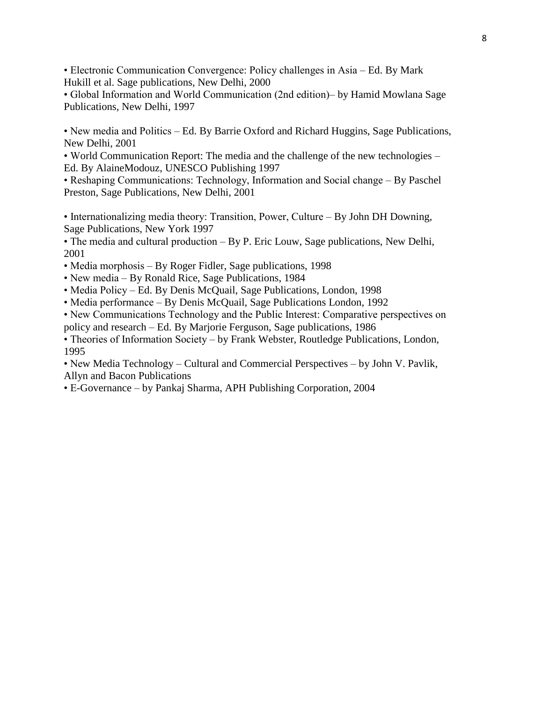• Electronic Communication Convergence: Policy challenges in Asia – Ed. By Mark Hukill et al. Sage publications, New Delhi, 2000

• Global Information and World Communication (2nd edition)– by Hamid Mowlana Sage Publications, New Delhi, 1997

• New media and Politics – Ed. By Barrie Oxford and Richard Huggins, Sage Publications, New Delhi, 2001

• World Communication Report: The media and the challenge of the new technologies – Ed. By AlaineModouz, UNESCO Publishing 1997

• Reshaping Communications: Technology, Information and Social change – By Paschel Preston, Sage Publications, New Delhi, 2001

• Internationalizing media theory: Transition, Power, Culture – By John DH Downing, Sage Publications, New York 1997

• The media and cultural production – By P. Eric Louw, Sage publications, New Delhi, 2001

• Media morphosis – By Roger Fidler, Sage publications, 1998

• New media – By Ronald Rice, Sage Publications, 1984

• Media Policy – Ed. By Denis McQuail, Sage Publications, London, 1998

• Media performance – By Denis McQuail, Sage Publications London, 1992

• New Communications Technology and the Public Interest: Comparative perspectives on policy and research – Ed. By Marjorie Ferguson, Sage publications, 1986

• Theories of Information Society – by Frank Webster, Routledge Publications, London, 1995

• New Media Technology – Cultural and Commercial Perspectives – by John V. Pavlik, Allyn and Bacon Publications

• E-Governance – by Pankaj Sharma, APH Publishing Corporation, 2004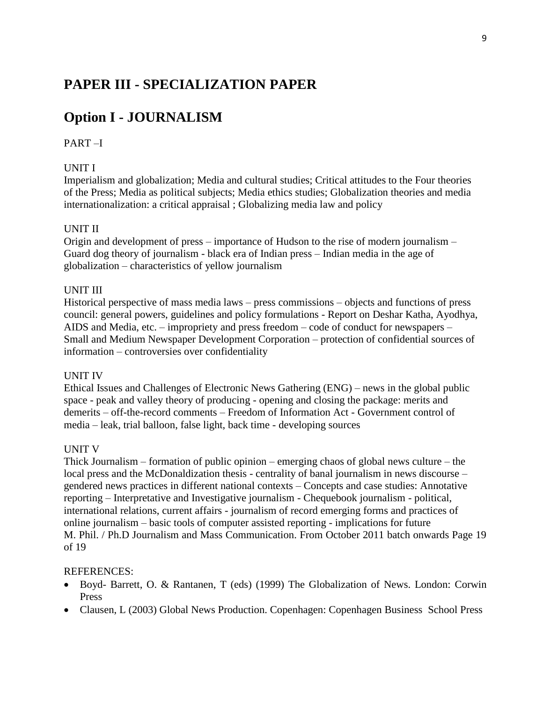# **Option I - JOURNALISM**

### PART –I

### UNIT I

Imperialism and globalization; Media and cultural studies; Critical attitudes to the Four theories of the Press; Media as political subjects; Media ethics studies; Globalization theories and media internationalization: a critical appraisal ; Globalizing media law and policy

### UNIT II

Origin and development of press – importance of Hudson to the rise of modern journalism – Guard dog theory of journalism - black era of Indian press – Indian media in the age of globalization – characteristics of yellow journalism

#### UNIT III

Historical perspective of mass media laws – press commissions – objects and functions of press council: general powers, guidelines and policy formulations - Report on Deshar Katha, Ayodhya, AIDS and Media, etc. – impropriety and press freedom – code of conduct for newspapers – Small and Medium Newspaper Development Corporation – protection of confidential sources of information – controversies over confidentiality

### UNIT IV

Ethical Issues and Challenges of Electronic News Gathering (ENG) – news in the global public space - peak and valley theory of producing - opening and closing the package: merits and demerits – off-the-record comments – Freedom of Information Act - Government control of media – leak, trial balloon, false light, back time - developing sources

### UNIT V

Thick Journalism – formation of public opinion – emerging chaos of global news culture – the local press and the McDonaldization thesis - centrality of banal journalism in news discourse – gendered news practices in different national contexts – Concepts and case studies: Annotative reporting – Interpretative and Investigative journalism - Chequebook journalism - political, international relations, current affairs - journalism of record emerging forms and practices of online journalism – basic tools of computer assisted reporting - implications for future M. Phil. / Ph.D Journalism and Mass Communication. From October 2011 batch onwards Page 19 of 19

- Boyd- Barrett, O. & Rantanen, T (eds) (1999) The Globalization of News. London: Corwin Press
- Clausen, L (2003) Global News Production. Copenhagen: Copenhagen Business School Press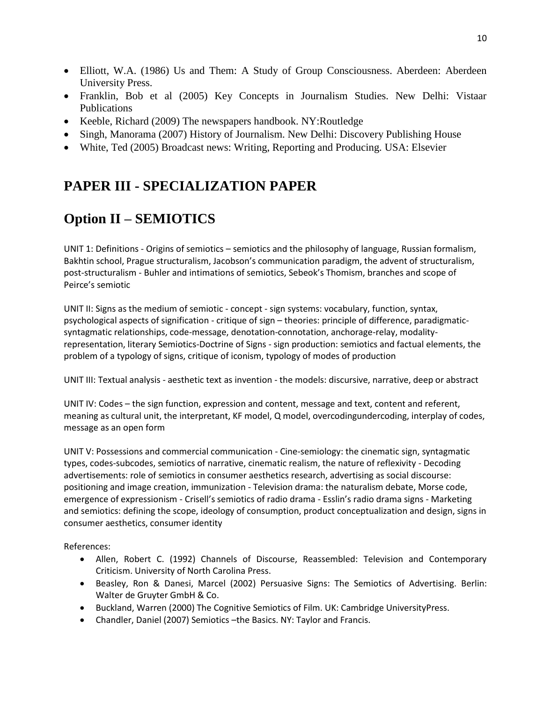- Elliott, W.A. (1986) Us and Them: A Study of Group Consciousness. Aberdeen: Aberdeen University Press.
- Franklin, Bob et al (2005) Key Concepts in Journalism Studies. New Delhi: Vistaar Publications
- Keeble, Richard (2009) The newspapers handbook. NY:Routledge
- Singh, Manorama (2007) History of Journalism. New Delhi: Discovery Publishing House
- White, Ted (2005) Broadcast news: Writing, Reporting and Producing. USA: Elsevier

# **Option II – SEMIOTICS**

UNIT 1: Definitions - Origins of semiotics – semiotics and the philosophy of language, Russian formalism, Bakhtin school, Prague structuralism, Jacobson's communication paradigm, the advent of structuralism, post-structuralism - Buhler and intimations of semiotics, Sebeok's Thomism, branches and scope of Peirce's semiotic

UNIT II: Signs as the medium of semiotic - concept - sign systems: vocabulary, function, syntax, psychological aspects of signification - critique of sign – theories: principle of difference, paradigmaticsyntagmatic relationships, code-message, denotation-connotation, anchorage-relay, modalityrepresentation, literary Semiotics-Doctrine of Signs - sign production: semiotics and factual elements, the problem of a typology of signs, critique of iconism, typology of modes of production

UNIT III: Textual analysis - aesthetic text as invention - the models: discursive, narrative, deep or abstract

UNIT IV: Codes – the sign function, expression and content, message and text, content and referent, meaning as cultural unit, the interpretant, KF model, Q model, overcodingundercoding, interplay of codes, message as an open form

UNIT V: Possessions and commercial communication - Cine-semiology: the cinematic sign, syntagmatic types, codes-subcodes, semiotics of narrative, cinematic realism, the nature of reflexivity - Decoding advertisements: role of semiotics in consumer aesthetics research, advertising as social discourse: positioning and image creation, immunization - Television drama: the naturalism debate, Morse code, emergence of expressionism - Crisell's semiotics of radio drama - Esslin's radio drama signs - Marketing and semiotics: defining the scope, ideology of consumption, product conceptualization and design, signs in consumer aesthetics, consumer identity

References:

- Allen, Robert C. (1992) Channels of Discourse, Reassembled: Television and Contemporary Criticism. University of North Carolina Press.
- Beasley, Ron & Danesi, Marcel (2002) Persuasive Signs: The Semiotics of Advertising. Berlin: Walter de Gruyter GmbH & Co.
- Buckland, Warren (2000) The Cognitive Semiotics of Film. UK: Cambridge UniversityPress.
- Chandler, Daniel (2007) Semiotics –the Basics. NY: Taylor and Francis.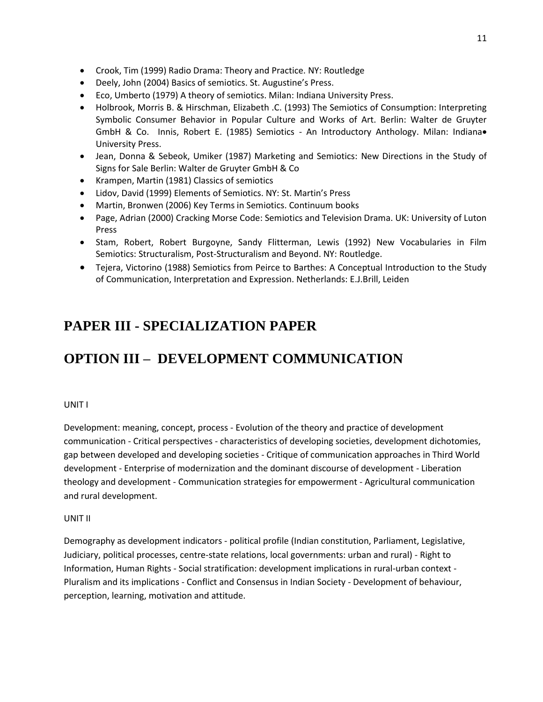- Crook, Tim (1999) Radio Drama: Theory and Practice. NY: Routledge
- Deely, John (2004) Basics of semiotics. St. Augustine's Press.
- Eco, Umberto (1979) A theory of semiotics. Milan: Indiana University Press.
- Holbrook, Morris B. & Hirschman, Elizabeth .C. (1993) The Semiotics of Consumption: Interpreting Symbolic Consumer Behavior in Popular Culture and Works of Art. Berlin: Walter de Gruyter GmbH & Co. Innis, Robert E. (1985) Semiotics - An Introductory Anthology. Milan: Indiana. University Press.
- Jean, Donna & Sebeok, Umiker (1987) Marketing and Semiotics: New Directions in the Study of Signs for Sale Berlin: Walter de Gruyter GmbH & Co
- Krampen, Martin (1981) Classics of semiotics
- Lidov, David (1999) Elements of Semiotics. NY: St. Martin's Press
- Martin, Bronwen (2006) Key Terms in Semiotics. Continuum books
- Page, Adrian (2000) Cracking Morse Code: Semiotics and Television Drama. UK: University of Luton Press
- Stam, Robert, Robert Burgoyne, Sandy Flitterman, Lewis (1992) New Vocabularies in Film Semiotics: Structuralism, Post-Structuralism and Beyond. NY: Routledge.
- Tejera, Victorino (1988) Semiotics from Peirce to Barthes: A Conceptual Introduction to the Study of Communication, Interpretation and Expression. Netherlands: E.J.Brill, Leiden

# **OPTION III – DEVELOPMENT COMMUNICATION**

#### UNIT I

Development: meaning, concept, process - Evolution of the theory and practice of development communication - Critical perspectives - characteristics of developing societies, development dichotomies, gap between developed and developing societies - Critique of communication approaches in Third World development - Enterprise of modernization and the dominant discourse of development - Liberation theology and development - Communication strategies for empowerment - Agricultural communication and rural development.

#### UNIT II

Demography as development indicators - political profile (Indian constitution, Parliament, Legislative, Judiciary, political processes, centre-state relations, local governments: urban and rural) - Right to Information, Human Rights - Social stratification: development implications in rural-urban context - Pluralism and its implications - Conflict and Consensus in Indian Society - Development of behaviour, perception, learning, motivation and attitude.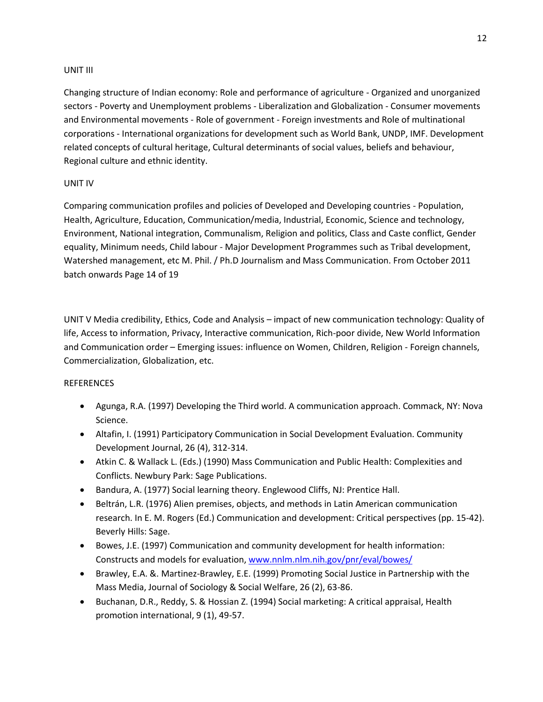### UNIT III

Changing structure of Indian economy: Role and performance of agriculture - Organized and unorganized sectors - Poverty and Unemployment problems - Liberalization and Globalization - Consumer movements and Environmental movements - Role of government - Foreign investments and Role of multinational corporations - International organizations for development such as World Bank, UNDP, IMF. Development related concepts of cultural heritage, Cultural determinants of social values, beliefs and behaviour, Regional culture and ethnic identity.

### UNIT IV

Comparing communication profiles and policies of Developed and Developing countries - Population, Health, Agriculture, Education, Communication/media, Industrial, Economic, Science and technology, Environment, National integration, Communalism, Religion and politics, Class and Caste conflict, Gender equality, Minimum needs, Child labour - Major Development Programmes such as Tribal development, Watershed management, etc M. Phil. / Ph.D Journalism and Mass Communication. From October 2011 batch onwards Page 14 of 19

UNIT V Media credibility, Ethics, Code and Analysis – impact of new communication technology: Quality of life, Access to information, Privacy, Interactive communication, Rich-poor divide, New World Information and Communication order – Emerging issues: influence on Women, Children, Religion - Foreign channels, Commercialization, Globalization, etc.

- Agunga, R.A. (1997) Developing the Third world. A communication approach. Commack, NY: Nova Science.
- Altafin, I. (1991) Participatory Communication in Social Development Evaluation. Community Development Journal, 26 (4), 312-314.
- Atkin C. & Wallack L. (Eds.) (1990) Mass Communication and Public Health: Complexities and Conflicts. Newbury Park: Sage Publications.
- Bandura, A. (1977) Social learning theory. Englewood Cliffs, NJ: Prentice Hall.
- Beltrán, L.R. (1976) Alien premises, objects, and methods in Latin American communication research. In E. M. Rogers (Ed.) Communication and development: Critical perspectives (pp. 15-42). Beverly Hills: Sage.
- Bowes, J.E. (1997) Communication and community development for health information: Constructs and models for evaluation[, www.nnlm.nlm.nih.gov/pnr/eval/bowes/](http://www.nnlm.nlm.nih.gov/pnr/eval/bowes/)
- Brawley, E.A. &. Martinez-Brawley, E.E. (1999) Promoting Social Justice in Partnership with the Mass Media, Journal of Sociology & Social Welfare, 26 (2), 63-86.
- Buchanan, D.R., Reddy, S. & Hossian Z. (1994) Social marketing: A critical appraisal, Health promotion international, 9 (1), 49-57.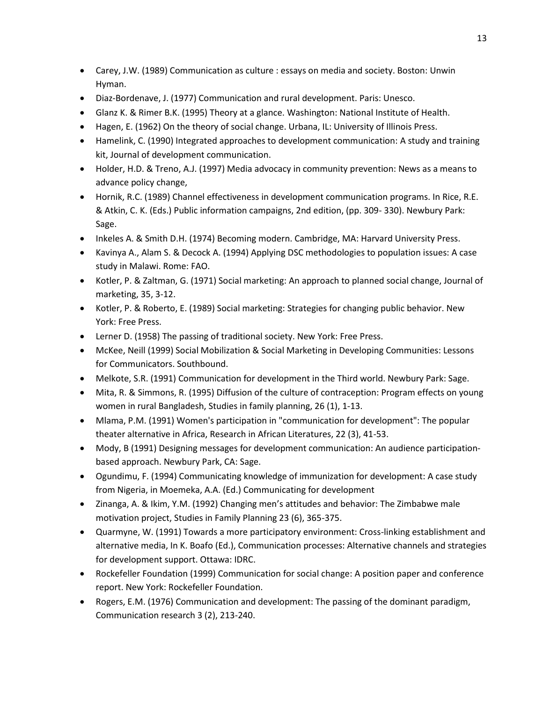- Carey, J.W. (1989) Communication as culture : essays on media and society. Boston: Unwin Hyman.
- Diaz-Bordenave, J. (1977) Communication and rural development. Paris: Unesco.
- Glanz K. & Rimer B.K. (1995) Theory at a glance. Washington: National Institute of Health.
- Hagen, E. (1962) On the theory of social change. Urbana, IL: University of Illinois Press.
- Hamelink, C. (1990) Integrated approaches to development communication: A study and training kit, Journal of development communication.
- Holder, H.D. & Treno, A.J. (1997) Media advocacy in community prevention: News as a means to advance policy change,
- Hornik, R.C. (1989) Channel effectiveness in development communication programs. In Rice, R.E. & Atkin, C. K. (Eds.) Public information campaigns, 2nd edition, (pp. 309- 330). Newbury Park: Sage.
- Inkeles A. & Smith D.H. (1974) Becoming modern. Cambridge, MA: Harvard University Press.
- Kavinya A., Alam S. & Decock A. (1994) Applying DSC methodologies to population issues: A case study in Malawi. Rome: FAO.
- Kotler, P. & Zaltman, G. (1971) Social marketing: An approach to planned social change, Journal of marketing, 35, 3-12.
- Kotler, P. & Roberto, E. (1989) Social marketing: Strategies for changing public behavior. New York: Free Press.
- Lerner D. (1958) The passing of traditional society. New York: Free Press.
- McKee, Neill (1999) Social Mobilization & Social Marketing in Developing Communities: Lessons for Communicators. Southbound.
- Melkote, S.R. (1991) Communication for development in the Third world. Newbury Park: Sage.
- Mita, R. & Simmons, R. (1995) Diffusion of the culture of contraception: Program effects on young women in rural Bangladesh, Studies in family planning, 26 (1), 1-13.
- Mlama, P.M. (1991) Women's participation in "communication for development": The popular theater alternative in Africa, Research in African Literatures, 22 (3), 41-53.
- Mody, B (1991) Designing messages for development communication: An audience participationbased approach. Newbury Park, CA: Sage.
- Ogundimu, F. (1994) Communicating knowledge of immunization for development: A case study from Nigeria, in Moemeka, A.A. (Ed.) Communicating for development
- Zinanga, A. & Ikim, Y.M. (1992) Changing men's attitudes and behavior: The Zimbabwe male motivation project, Studies in Family Planning 23 (6), 365-375.
- Quarmyne, W. (1991) Towards a more participatory environment: Cross-linking establishment and alternative media, In K. Boafo (Ed.), Communication processes: Alternative channels and strategies for development support. Ottawa: IDRC.
- Rockefeller Foundation (1999) Communication for social change: A position paper and conference report. New York: Rockefeller Foundation.
- Rogers, E.M. (1976) Communication and development: The passing of the dominant paradigm, Communication research 3 (2), 213-240.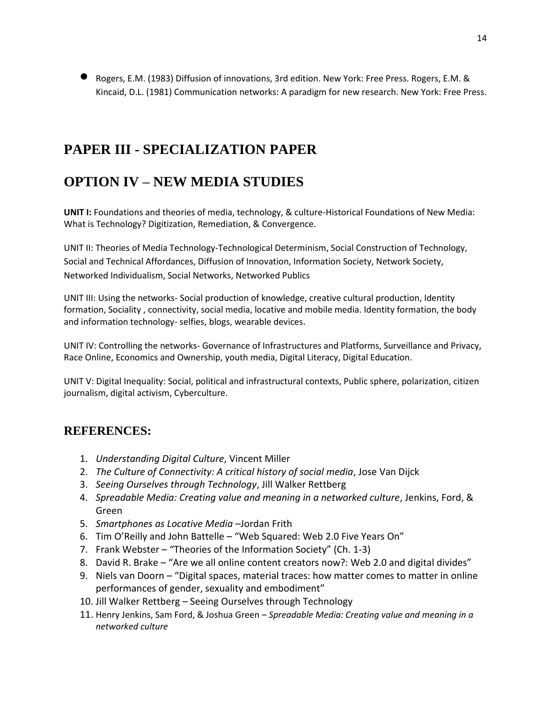Rogers, E.M. (1983) Diffusion of innovations, 3rd edition. New York: Free Press. Rogers, E.M. & Kincaid, D.L. (1981) Communication networks: A paradigm for new research. New York: Free Press.

# **PAPER III - SPECIALIZATION PAPER**

# **OPTION IV – NEW MEDIA STUDIES**

**UNIT I:** Foundations and theories of media, technology, & culture-Historical Foundations of New Media: What is Technology? Digitization, Remediation, & Convergence.

UNIT II: Theories of Media Technology-Technological Determinism, Social Construction of Technology, Social and Technical Affordances, Diffusion of Innovation, Information Society, Network Society, Networked Individualism, Social Networks, Networked Publics

UNIT III: Using the networks- Social production of knowledge, creative cultural production, Identity formation, Sociality , connectivity, social media, locative and mobile media. Identity formation, the body and information technology- selfies, blogs, wearable devices.

UNIT IV: Controlling the networks- Governance of Infrastructures and Platforms, Surveillance and Privacy, Race Online, Economics and Ownership, youth media, Digital Literacy, Digital Education.

UNIT V: Digital Inequality: Social, political and infrastructural contexts, Public sphere, polarization, citizen journalism, digital activism, Cyberculture.

- 1. *Understanding Digital Culture*, Vincent Miller
- 2. *The Culture of Connectivity: A critical history of social media*, Jose Van Dijck
- 3. *Seeing Ourselves through Technology*, Jill Walker Rettberg
- 4. *Spreadable Media: Creating value and meaning in a networked culture*, Jenkins, Ford, & Green
- 5. *Smartphones as Locative Media –*Jordan Frith
- 6. Tim O'Reilly and John Battelle "Web Squared: Web 2.0 Five Years On"
- 7. Frank Webster "Theories of the Information Society" (Ch. 1-3)
- 8. David R. Brake "Are we all online content creators now?: Web 2.0 and digital divides"
- 9. Niels van Doorn "Digital spaces, material traces: how matter comes to matter in online performances of gender, sexuality and embodiment"
- 10. Jill Walker Rettberg Seeing Ourselves through Technology
- 11. Henry Jenkins, Sam Ford, & Joshua Green *Spreadable Media: Creating value and meaning in a networked culture*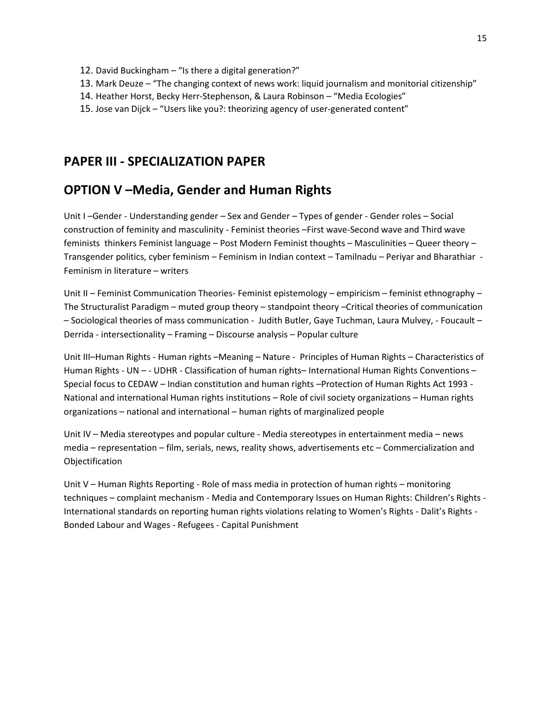- 12. David Buckingham "Is there a digital generation?"
- 13. Mark Deuze "The changing context of news work: liquid journalism and monitorial citizenship"
- 14. Heather Horst, Becky Herr-Stephenson, & Laura Robinson "Media Ecologies"
- 15. Jose van Dijck "Users like you?: theorizing agency of user-generated content"

### **OPTION V –Media, Gender and Human Rights**

Unit I –Gender - Understanding gender – Sex and Gender – Types of gender - Gender roles – Social construction of feminity and masculinity - Feminist theories –First wave-Second wave and Third wave feminists thinkers Feminist language – Post Modern Feminist thoughts – Masculinities – Queer theory – Transgender politics, cyber feminism – Feminism in Indian context – Tamilnadu – Periyar and Bharathiar - Feminism in literature – writers

Unit II – Feminist Communication Theories- Feminist epistemology – empiricism – feminist ethnography – The Structuralist Paradigm – muted group theory – standpoint theory –Critical theories of communication – Sociological theories of mass communication - Judith Butler, Gaye Tuchman, Laura Mulvey, - Foucault – Derrida - intersectionality – Framing – Discourse analysis – Popular culture

Unit III–Human Rights - Human rights –Meaning – Nature - Principles of Human Rights – Characteristics of Human Rights - UN – - UDHR - Classification of human rights– International Human Rights Conventions – Special focus to CEDAW – Indian constitution and human rights –Protection of Human Rights Act 1993 - National and international Human rights institutions – Role of civil society organizations – Human rights organizations – national and international – human rights of marginalized people

Unit IV – Media stereotypes and popular culture - Media stereotypes in entertainment media – news media – representation – film, serials, news, reality shows, advertisements etc – Commercialization and Objectification

Unit V – Human Rights Reporting - Role of mass media in protection of human rights – monitoring techniques – complaint mechanism - Media and Contemporary Issues on Human Rights: Children's Rights - International standards on reporting human rights violations relating to Women's Rights - Dalit's Rights - Bonded Labour and Wages - Refugees - Capital Punishment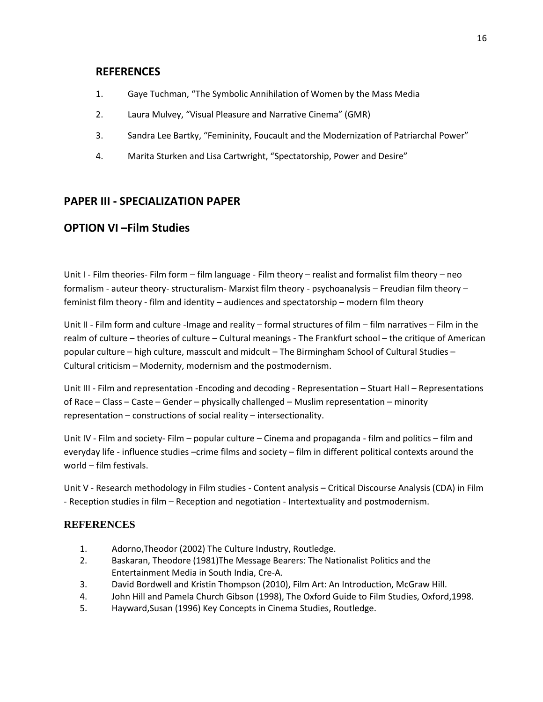### **REFERENCES**

- 1. Gaye Tuchman, "The Symbolic Annihilation of Women by the Mass Media
- 2. Laura Mulvey, "Visual Pleasure and Narrative Cinema" (GMR)
- 3. Sandra Lee Bartky, "Femininity, Foucault and the Modernization of Patriarchal Power"
- 4. Marita Sturken and Lisa Cartwright, "Spectatorship, Power and Desire"

### **PAPER III - SPECIALIZATION PAPER**

### **OPTION VI –Film Studies**

Unit I - Film theories- Film form – film language - Film theory – realist and formalist film theory – neo formalism - auteur theory- structuralism- Marxist film theory - psychoanalysis – Freudian film theory – feminist film theory - film and identity – audiences and spectatorship – modern film theory

Unit II - Film form and culture -Image and reality – formal structures of film – film narratives – Film in the realm of culture – theories of culture – Cultural meanings - The Frankfurt school – the critique of American popular culture – high culture, masscult and midcult – The Birmingham School of Cultural Studies – Cultural criticism – Modernity, modernism and the postmodernism.

Unit III - Film and representation -Encoding and decoding - Representation – Stuart Hall – Representations of Race – Class – Caste – Gender – physically challenged – Muslim representation – minority representation – constructions of social reality – intersectionality.

Unit IV - Film and society- Film – popular culture – Cinema and propaganda - film and politics – film and everyday life - influence studies –crime films and society – film in different political contexts around the world – film festivals.

Unit V - Research methodology in Film studies - Content analysis – Critical Discourse Analysis (CDA) in Film - Reception studies in film – Reception and negotiation - Intertextuality and postmodernism.

- 1. Adorno,Theodor (2002) The Culture Industry, Routledge.
- 2. Baskaran, Theodore (1981)The Message Bearers: The Nationalist Politics and the Entertainment Media in South India, Cre-A.
- 3. David Bordwell and Kristin Thompson (2010), Film Art: An Introduction, McGraw Hill.
- 4. John Hill and Pamela Church Gibson (1998), The Oxford Guide to Film Studies, Oxford,1998.
- 5. Hayward,Susan (1996) Key Concepts in Cinema Studies, Routledge.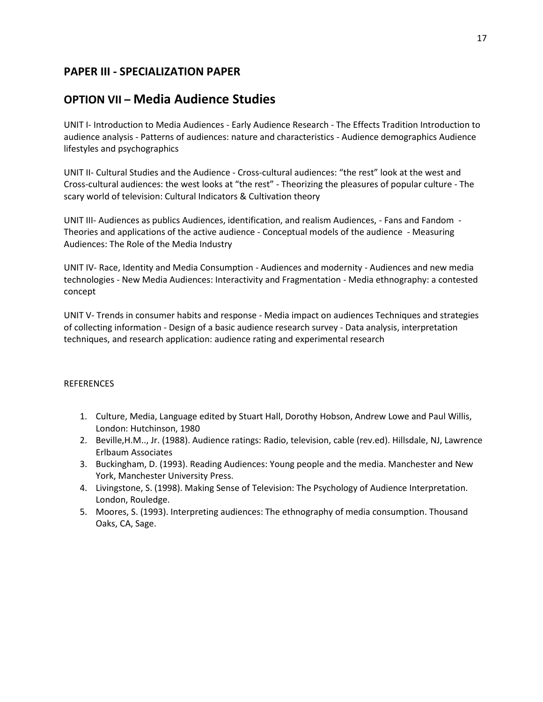# **OPTION VII – Media Audience Studies**

UNIT I- Introduction to Media Audiences - Early Audience Research - The Effects Tradition Introduction to audience analysis - Patterns of audiences: nature and characteristics - Audience demographics Audience lifestyles and psychographics

UNIT II- Cultural Studies and the Audience - Cross-cultural audiences: "the rest" look at the west and Cross-cultural audiences: the west looks at "the rest" - Theorizing the pleasures of popular culture - The scary world of television: Cultural Indicators & Cultivation theory

UNIT III- Audiences as publics Audiences, identification, and realism Audiences, - Fans and Fandom - Theories and applications of the active audience - Conceptual models of the audience - Measuring Audiences: The Role of the Media Industry

UNIT IV- Race, Identity and Media Consumption - Audiences and modernity - Audiences and new media technologies - New Media Audiences: Interactivity and Fragmentation - Media ethnography: a contested concept

UNIT V- Trends in consumer habits and response - Media impact on audiences Techniques and strategies of collecting information - Design of a basic audience research survey - Data analysis, interpretation techniques, and research application: audience rating and experimental research

- 1. Culture, Media, Language edited by Stuart Hall, Dorothy Hobson, Andrew Lowe and Paul Willis, London: Hutchinson, 1980
- 2. Beville,H.M.., Jr. (1988). Audience ratings: Radio, television, cable (rev.ed). Hillsdale, NJ, Lawrence Erlbaum Associates
- 3. Buckingham, D. (1993). Reading Audiences: Young people and the media. Manchester and New York, Manchester University Press.
- 4. Livingstone, S. (1998). Making Sense of Television: The Psychology of Audience Interpretation. London, Rouledge.
- 5. Moores, S. (1993). Interpreting audiences: The ethnography of media consumption. Thousand Oaks, CA, Sage.